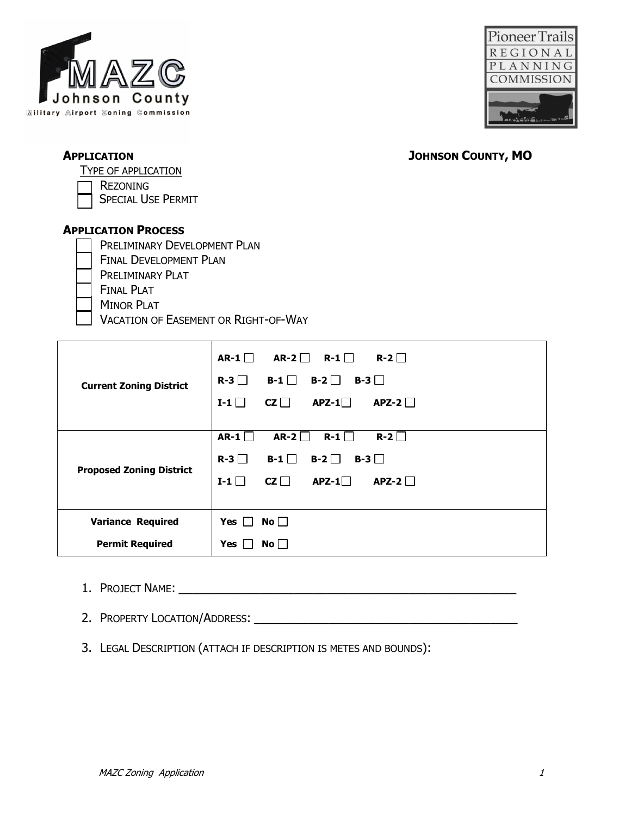



TYPE OF APPLICATION

REZONING

SPECIAL USE PERMIT

# **APPLICATION PROCESS**

- PRELIMINARY DEVELOPMENT PLAN FINAL DEVELOPMENT PLAN
- PRELIMINARY PLAT
- FINAL PLAT
- MINOR PLAT
- VACATION OF EASEMENT OR RIGHT-OF-WAY

| <b>Current Zoning District</b>  | $R-2$<br>AR-2 $\Box$<br>R-1 $\Box$<br>AR-1 $\Box$<br>$R-3$<br>$B-1$<br>$B-2$<br>$B-3$<br>$CZ \Box$<br>$APZ-1$<br>$APZ-2$<br>$I-1$ |
|---------------------------------|-----------------------------------------------------------------------------------------------------------------------------------|
| <b>Proposed Zoning District</b> | $R-2$<br>AR-1 $\Box$<br>$AR-2$<br>$R-1$<br>$R-3$<br>$B-1$<br>$B-2$<br>$B-3$    <br>$APZ-2$<br>$cz \Box$<br>$APZ-1$<br>$I-1$       |
| <b>Variance Required</b>        | Yes  <br>$No$                                                                                                                     |
| <b>Permit Required</b>          | <b>Yes</b><br>No l                                                                                                                |

- 1. PROJECT NAME: \_\_\_\_\_\_\_\_\_\_\_\_\_\_\_\_\_\_\_\_\_\_\_\_\_\_\_\_\_\_\_\_\_\_\_\_\_\_\_\_\_\_\_\_\_\_\_\_\_\_
- 2. PROPERTY LOCATION/ADDRESS: \_\_\_\_\_\_\_\_\_\_\_\_\_\_\_\_\_\_\_\_\_\_\_\_\_\_\_\_\_\_\_\_\_\_\_\_\_\_\_
- 3. LEGAL DESCRIPTION (ATTACH IF DESCRIPTION IS METES AND BOUNDS):

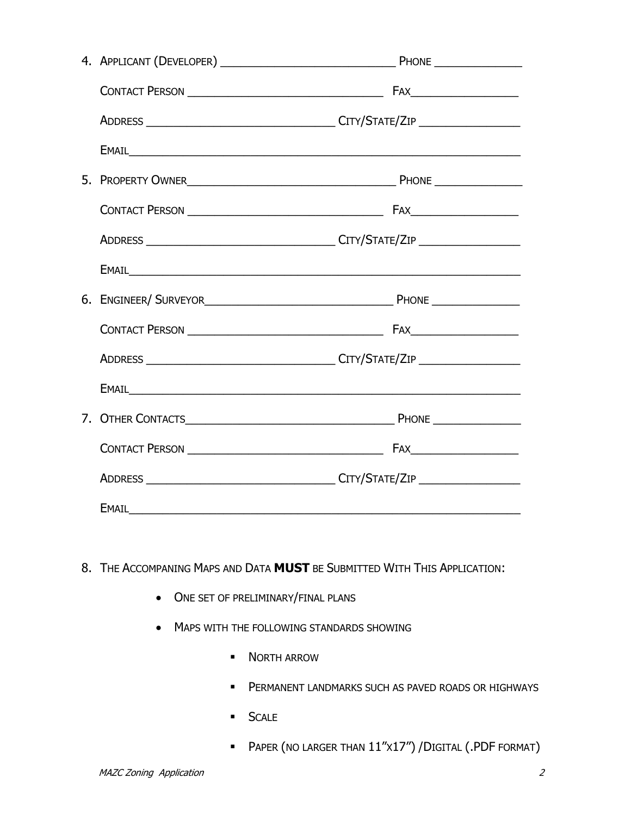- 8. THE ACCOMPANING MAPS AND DATA **MUST** BE SUBMITTED WITH THIS APPLICATION:
	- ONE SET OF PRELIMINARY/FINAL PLANS
	- MAPS WITH THE FOLLOWING STANDARDS SHOWING
		- **NORTH ARROW**
		- **PERMANENT LANDMARKS SUCH AS PAVED ROADS OR HIGHWAYS**
		- **SCALE**
		- PAPER (NO LARGER THAN 11"X17") /DIGITAL (.PDF FORMAT)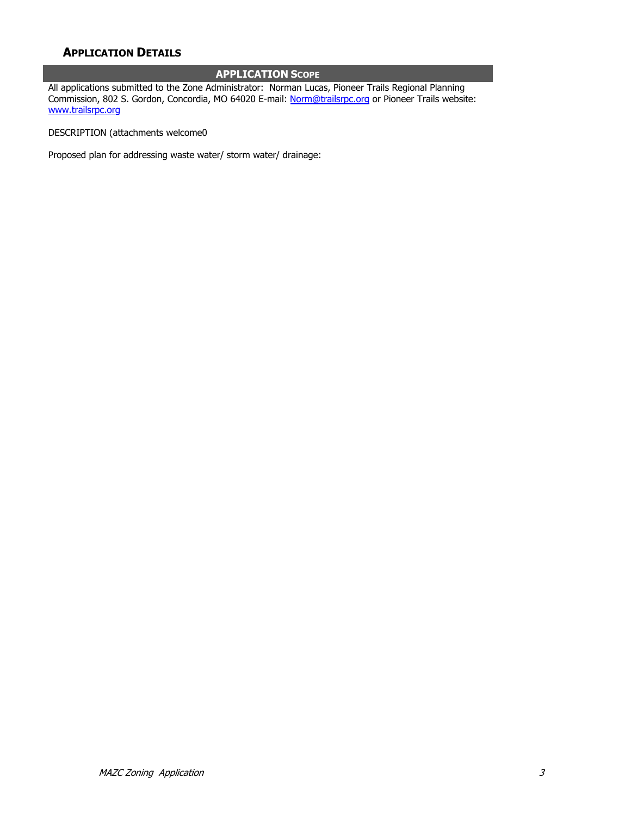# **APPLICATION DETAILS**

#### **APPLICATION SCOPE**

All applications submitted to the Zone Administrator: Norman Lucas, Pioneer Trails Regional Planning Commission, 802 S. Gordon, Concordia, MO 64020 E-mail: Norm@trailsrpc.org or Pioneer Trails website: www.trailsrpc.org

DESCRIPTION (attachments welcome0

Proposed plan for addressing waste water/ storm water/ drainage: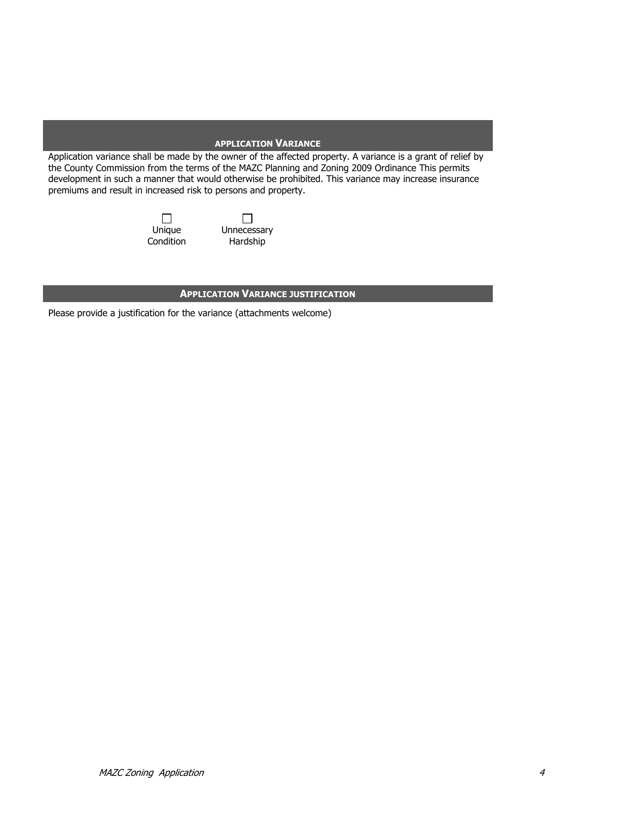#### **APPLICATION VARIANCE**

Application variance shall be made by the owner of the affected property. A variance is a grant of relief by the County Commission from the terms of the MAZC Planning and Zoning 2009 Ordinance This permits development in such a manner that would otherwise be prohibited. This variance may increase insurance premiums and result in increased risk to persons and property.

> Unique **Condition**

 $\Box$ Unnecessary Hardship

#### **APPLICATION VARIANCE JUSTIFICATION**

Please provide a justification for the variance (attachments welcome)